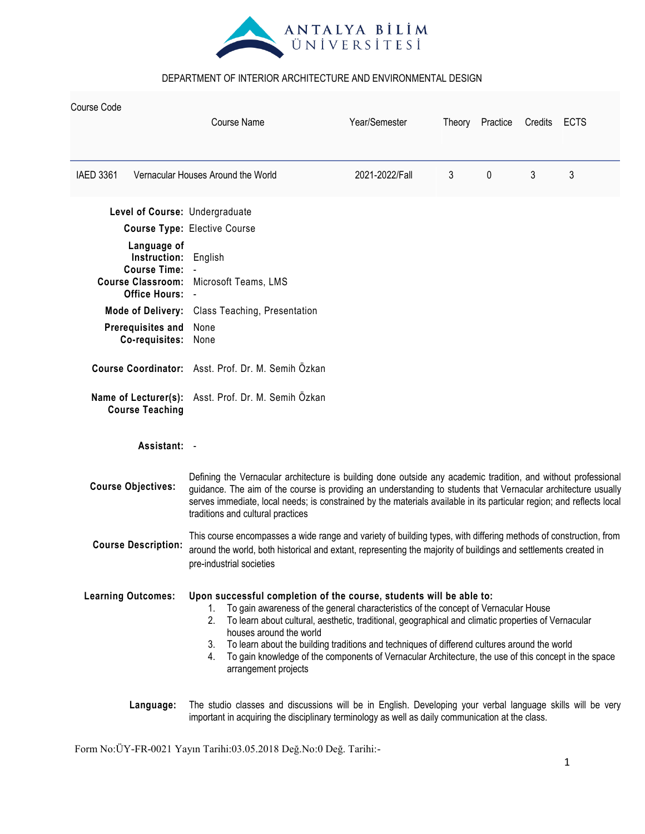

| Course Code      |                                                    | Course Name                                                                                                                                                                                                                                                                                                                                                                                                                                                                                                                                    | Year/Semester  |   | Theory Practice | Credits | ECTS |  |
|------------------|----------------------------------------------------|------------------------------------------------------------------------------------------------------------------------------------------------------------------------------------------------------------------------------------------------------------------------------------------------------------------------------------------------------------------------------------------------------------------------------------------------------------------------------------------------------------------------------------------------|----------------|---|-----------------|---------|------|--|
| <b>IAED 3361</b> |                                                    | Vernacular Houses Around the World                                                                                                                                                                                                                                                                                                                                                                                                                                                                                                             | 2021-2022/Fall | 3 | $\mathbf{0}$    | 3       | 3    |  |
|                  |                                                    | Level of Course: Undergraduate                                                                                                                                                                                                                                                                                                                                                                                                                                                                                                                 |                |   |                 |         |      |  |
|                  |                                                    | <b>Course Type: Elective Course</b>                                                                                                                                                                                                                                                                                                                                                                                                                                                                                                            |                |   |                 |         |      |  |
|                  | Language of<br>Instruction:<br><b>Course Time:</b> | English<br>Course Classroom: Microsoft Teams, LMS                                                                                                                                                                                                                                                                                                                                                                                                                                                                                              |                |   |                 |         |      |  |
|                  | <b>Office Hours:</b>                               |                                                                                                                                                                                                                                                                                                                                                                                                                                                                                                                                                |                |   |                 |         |      |  |
|                  |                                                    | Mode of Delivery: Class Teaching, Presentation                                                                                                                                                                                                                                                                                                                                                                                                                                                                                                 |                |   |                 |         |      |  |
|                  | Prerequisites and<br>Co-requisites:                | None<br>None                                                                                                                                                                                                                                                                                                                                                                                                                                                                                                                                   |                |   |                 |         |      |  |
|                  |                                                    | Course Coordinator: Asst. Prof. Dr. M. Semih Özkan                                                                                                                                                                                                                                                                                                                                                                                                                                                                                             |                |   |                 |         |      |  |
|                  | <b>Course Teaching</b>                             | Name of Lecturer(s): Asst. Prof. Dr. M. Semih Özkan                                                                                                                                                                                                                                                                                                                                                                                                                                                                                            |                |   |                 |         |      |  |
|                  | Assistant: -                                       |                                                                                                                                                                                                                                                                                                                                                                                                                                                                                                                                                |                |   |                 |         |      |  |
|                  | <b>Course Objectives:</b>                          | Defining the Vernacular architecture is building done outside any academic tradition, and without professional<br>guidance. The aim of the course is providing an understanding to students that Vernacular architecture usually<br>serves immediate, local needs; is constrained by the materials available in its particular region; and reflects local<br>traditions and cultural practices                                                                                                                                                 |                |   |                 |         |      |  |
|                  | <b>Course Description:</b>                         | This course encompasses a wide range and variety of building types, with differing methods of construction, from<br>around the world, both historical and extant, representing the majority of buildings and settlements created in<br>pre-industrial societies                                                                                                                                                                                                                                                                                |                |   |                 |         |      |  |
|                  | <b>Learning Outcomes:</b>                          | Upon successful completion of the course, students will be able to:<br>To gain awareness of the general characteristics of the concept of Vernacular House<br>1.<br>2. To learn about cultural, aesthetic, traditional, geographical and climatic properties of Vernacular<br>houses around the world<br>To learn about the building traditions and techniques of differend cultures around the world<br>3.<br>4. To gain knowledge of the components of Vernacular Architecture, the use of this concept in the space<br>arrangement projects |                |   |                 |         |      |  |
|                  | Language:                                          | The studio classes and discussions will be in English. Developing your verbal language skills will be very<br>important in acquiring the disciplinary terminology as well as daily communication at the class.                                                                                                                                                                                                                                                                                                                                 |                |   |                 |         |      |  |

Form No:ÜY-FR-0021 Yayın Tarihi:03.05.2018 Değ.No:0 Değ. Tarihi:-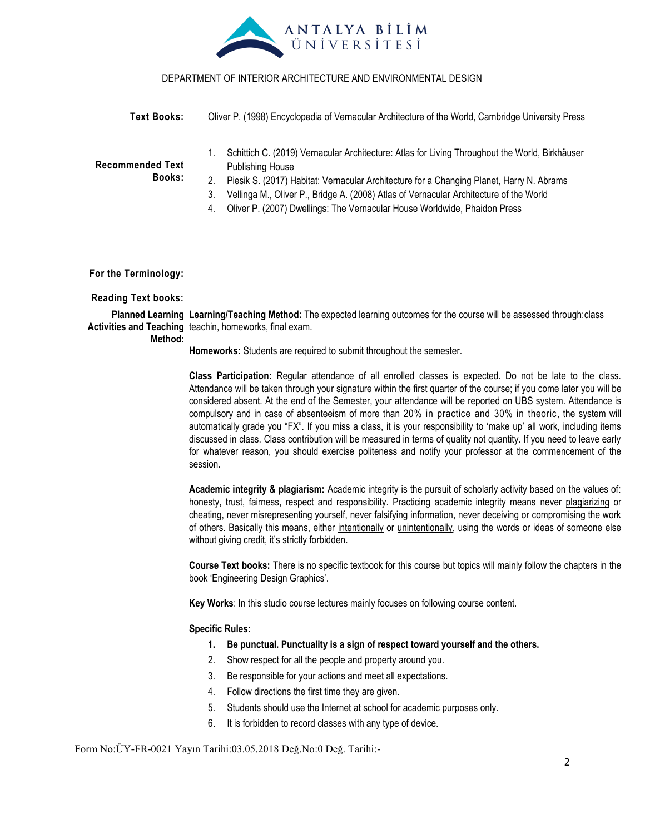

| Text Books:                       | Oliver P. (1998) Encyclopedia of Vernacular Architecture of the World, Cambridge University Press                                                                                                                                                                                                                                                                                                        |  |  |  |  |
|-----------------------------------|----------------------------------------------------------------------------------------------------------------------------------------------------------------------------------------------------------------------------------------------------------------------------------------------------------------------------------------------------------------------------------------------------------|--|--|--|--|
| <b>Recommended Text</b><br>Books: | Schittich C. (2019) Vernacular Architecture: Atlas for Living Throughout the World, Birkhäuser<br><b>Publishing House</b><br>Piesik S. (2017) Habitat: Vernacular Architecture for a Changing Planet, Harry N. Abrams<br>Vellinga M., Oliver P., Bridge A. (2008) Atlas of Vernacular Architecture of the World<br>3.<br>Oliver P. (2007) Dwellings: The Vernacular House Worldwide, Phaidon Press<br>4. |  |  |  |  |

**For the Terminology:**

#### **Reading Text books:**

**Planned Learning Learning/Teaching Method:** The expected learning outcomes for the course will be assessed through:class Activities and Teaching teachin, homeworks, final exam.

#### **Method:**

**Homeworks:** Students are required to submit throughout the semester.

**Class Participation:** Regular attendance of all enrolled classes is expected. Do not be late to the class. Attendance will be taken through your signature within the first quarter of the course; if you come later you will be considered absent. At the end of the Semester, your attendance will be reported on UBS system. Attendance is compulsory and in case of absenteeism of more than 20% in practice and 30% in theoric, the system will automatically grade you "FX". If you miss a class, it is your responsibility to "make up" all work, including items discussed in class. Class contribution will be measured in terms of quality not quantity. If you need to leave early for whatever reason, you should exercise politeness and notify your professor at the commencement of the session.

**Academic integrity & plagiarism:** Academic integrity is the pursuit of scholarly activity based on the values of: honesty, trust, fairness, respect and responsibility. Practicing academic integrity means never plagiarizing or cheating, never misrepresenting yourself, never falsifying information, never deceiving or compromising the work of others. Basically this means, either intentionally or unintentionally, using the words or ideas of someone else without giving credit, it's strictly forbidden.

**Course Text books:** There is no specific textbook for this course but topics will mainly follow the chapters in the book "Engineering Design Graphics".

**Key Works**: In this studio course lectures mainly focuses on following course content.

#### **Specific Rules:**

- **1. Be punctual. Punctuality is a sign of respect toward yourself and the others.**
- 2. Show respect for all the people and property around you.
- 3. Be responsible for your actions and meet all expectations.
- 4. Follow directions the first time they are given.
- 5. Students should use the Internet at school for academic purposes only.
- 6. It is forbidden to record classes with any type of device.

Form No:ÜY-FR-0021 Yayın Tarihi:03.05.2018 Değ.No:0 Değ. Tarihi:-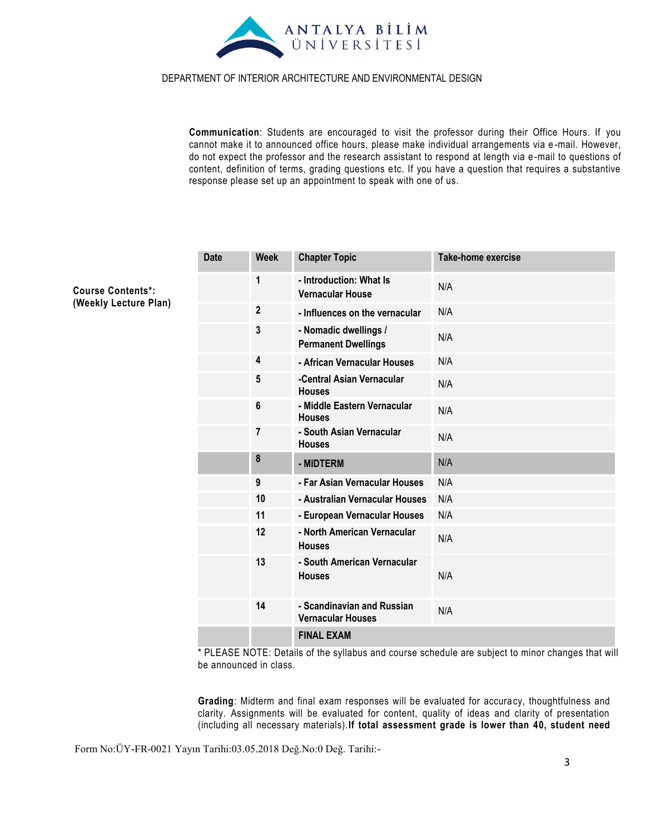

**Communication**: Students are encouraged to visit the professor during their Office Hours. If you cannot make it to announced office hours, please make individual arrangements via e -mail. However, do not expect the professor and the research assistant to respond at length via e -mail to questions of content, definition of terms, grading questions etc. If you have a question that requires a substantive response please set up an appointment to speak with one of us.

| <b>Date</b> | <b>Week</b>    | <b>Chapter Topic</b>                                   | <b>Take-home exercise</b> |
|-------------|----------------|--------------------------------------------------------|---------------------------|
|             | 1              | - Introduction: What Is<br><b>Vernacular House</b>     | N/A                       |
|             | $\mathbf{2}$   | - Influences on the vernacular                         | N/A                       |
|             | 3              | - Nomadic dwellings /<br><b>Permanent Dwellings</b>    | N/A                       |
|             | 4              | - African Vernacular Houses                            | N/A                       |
|             | 5              | -Central Asian Vernacular<br><b>Houses</b>             | N/A                       |
|             | 6              | - Middle Eastern Vernacular<br><b>Houses</b>           | N/A                       |
|             | $\overline{7}$ | - South Asian Vernacular<br><b>Houses</b>              | N/A                       |
|             | $\bf 8$        | - MIDTERM                                              | N/A                       |
|             | 9              | - Far Asian Vernacular Houses                          | N/A                       |
|             | 10             | - Australian Vernacular Houses                         | N/A                       |
|             | 11             | - European Vernacular Houses                           | N/A                       |
|             | 12             | - North American Vernacular<br><b>Houses</b>           | N/A                       |
|             | 13             | - South American Vernacular<br><b>Houses</b>           | N/A                       |
|             | 14             | - Scandinavian and Russian<br><b>Vernacular Houses</b> | N/A                       |
|             |                | <b>FINAL EXAM</b>                                      |                           |

\* PLEASE NOTE: Details of the syllabus and course schedule are subject to minor changes that will be announced in class.

**Grading**: Midterm and final exam responses will be evaluated for accura cy, thoughtfulness and clarity. Assignments will be evaluated for content, quality of ideas and clarity of presentation (including all necessary materials).**If total assessment grade is lower than 40, student need** 

Form No:ÜY-FR-0021 Yayın Tarihi:03.05.2018 Değ.No:0 Değ. Tarihi:-

**Course Contents\*: (Weekly Lecture Plan)**